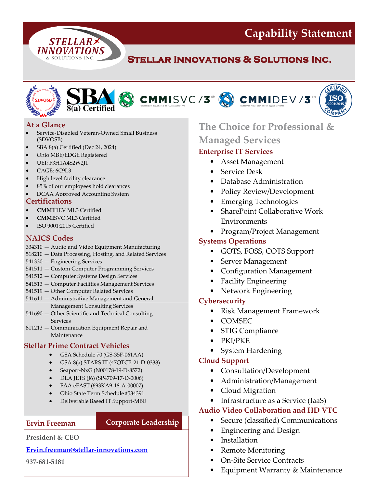**Capability Statement**

# **Stellar Innovations & Solutions Inc.**







- Service-Disabled Veteran-Owned Small Business (SDVOSB)
- SBA 8(a) Certified (Dec 24, 2024)

**STELLAR>** INNOVATIONS **& SOLUTIONS INC.** 

- Ohio MBE/EDGE Registered
- UEI: F3H1A4S2W2J1
- CAGE: 6C9L3
- High level facility clearance
- 85% of our employees hold clearances
- DCAA Approved Accounting System

#### **Certifications**

- **CMMI**DEV ML3 Certified
- **CMMI**SVC ML3 Certified
- ISO 9001:2015 Certified

## **NAICS Codes**

- 334310 Audio and Video Equipment Manufacturing
- 518210 Data Processing, Hosting, and Related Services
- 541330 Engineering Services
- 541511 Custom Computer Programming Services
- 541512 Computer Systems Design Services
- 541513 Computer Facilities Management Services
- 541519 Other Computer Related Services
- 541611 Administrative Management and General Management Consulting Services
- 541690 Other Scientific and Technical Consulting **Services**
- 811213 Communication Equipment Repair and Maintenance

### **Stellar Prime Contract Vehicles**

- GSA Schedule 70 (GS-35F-061AA)
- GSA 8(a) STARS III (47QTCB-21-D-0338)
- Seaport-NxG (N00178-19-D-8572)
- DLA JETS (J6) (SP4709-17-D-0006)
- FAA eFAST (693KA9-18-A-00007)
- Ohio State Term Schedule #534391
- Deliverable Based IT Support-MBE

### **Ervin Freeman Corporate Leadership**

### **President & CEO**

### **[Ervin.freeman@stellar-innovations.com](mailto:Ervin.freeman@stellar-innovations.com)**

**937-681-5181**

# **At a Glance The Choice for Professional & Managed Services**

# **Enterprise IT Services**

- Asset Management
- Service Desk
- Database Administration
- Policy Review/Development
- Emerging Technologies
- SharePoint Collaborative Work **Environments**
- Program/Project Management

## **Systems Operations**

- GOTS, FOSS, COTS Support
- Server Management
- Configuration Management
- Facility Engineering
- Network Engineering

### **Cybersecurity**

- Risk Management Framework
- COMSEC
- STIG Compliance
- PKI/PKE
- System Hardening

## **Cloud Support**

- Consultation/Development
- Administration/Management
- Cloud Migration
- Infrastructure as a Service (IaaS)

## **Audio Video Collaboration and HD VTC**

- Secure (classified) Communications
- Engineering and Design
- **Installation**
- Remote Monitoring
- On-Site Service Contracts
- Equipment Warranty & Maintenance